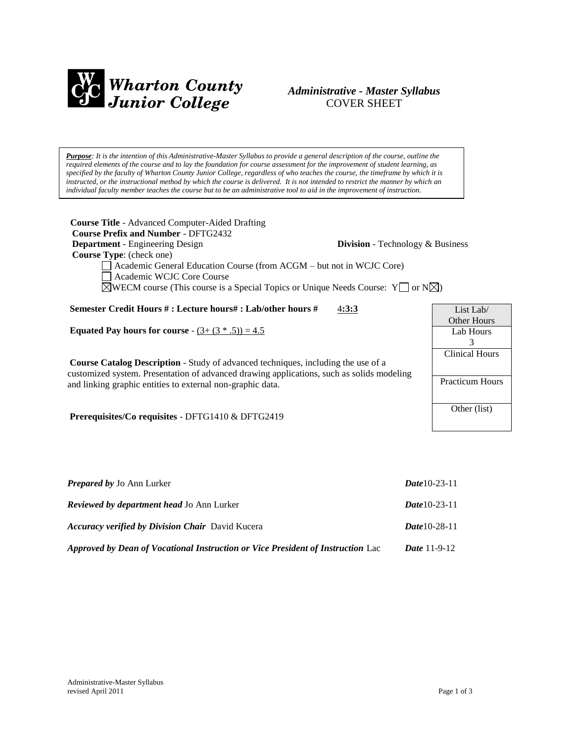

# *Administrative - Master Syllabus*  COVER SHEET

*Purpose: It is the intention of this Administrative-Master Syllabus to provide a general description of the course, outline the required elements of the course and to lay the foundation for course assessment for the improvement of student learning, as specified by the faculty of Wharton County Junior College, regardless of who teaches the course, the timeframe by which it is*  instructed, or the instructional method by which the course is delivered. It is not intended to restrict the manner by which an *individual faculty member teaches the course but to be an administrative tool to aid in the improvement of instruction.*

| <b>Course Title</b> - Advanced Computer-Aided Drafting<br><b>Course Prefix and Number - DFTG2432</b><br><b>Department</b> - Engineering Design<br>Division - Technology & Business<br><b>Course Type:</b> (check one)<br>Academic General Education Course (from ACGM – but not in WCJC Core)<br>Academic WCJC Core Course<br>$\triangle$ WECM course (This course is a Special Topics or Unique Needs Course: Y or N $\triangle$ ) |                        |
|-------------------------------------------------------------------------------------------------------------------------------------------------------------------------------------------------------------------------------------------------------------------------------------------------------------------------------------------------------------------------------------------------------------------------------------|------------------------|
| Semester Credit Hours #: Lecture hours#: Lab/other hours #<br>4:3:3                                                                                                                                                                                                                                                                                                                                                                 | List Lab $\ell$        |
|                                                                                                                                                                                                                                                                                                                                                                                                                                     | Other Hours            |
| <b>Equated Pay hours for course</b> - $(3 + (3 * .5)) = 4.5$                                                                                                                                                                                                                                                                                                                                                                        | Lab Hours              |
|                                                                                                                                                                                                                                                                                                                                                                                                                                     | 3                      |
| <b>Course Catalog Description</b> - Study of advanced techniques, including the use of a                                                                                                                                                                                                                                                                                                                                            | <b>Clinical Hours</b>  |
| customized system. Presentation of advanced drawing applications, such as solids modeling                                                                                                                                                                                                                                                                                                                                           |                        |
| and linking graphic entities to external non-graphic data.                                                                                                                                                                                                                                                                                                                                                                          | <b>Practicum Hours</b> |
| Prerequisites/Co requisites - DFTG1410 & DFTG2419                                                                                                                                                                                                                                                                                                                                                                                   | Other (list)           |

| <b>Prepared by Jo Ann Lurker</b>                                                | <b>Date 10-23-11</b>  |
|---------------------------------------------------------------------------------|-----------------------|
| <b>Reviewed by department head Jo Ann Lurker</b>                                | <b>Date 10-23-11</b>  |
| <b>Accuracy verified by Division Chair</b> David Kucera                         | $Date 10-28-11$       |
| Approved by Dean of Vocational Instruction or Vice President of Instruction Lac | <i>Date</i> $11-9-12$ |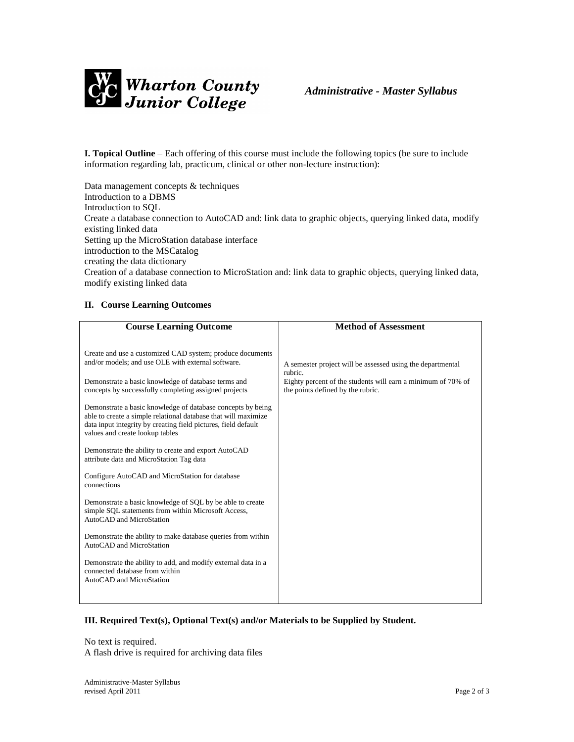

**I. Topical Outline** – Each offering of this course must include the following topics (be sure to include information regarding lab, practicum, clinical or other non-lecture instruction):

Data management concepts & techniques Introduction to a DBMS Introduction to SQL Create a database connection to AutoCAD and: link data to graphic objects, querying linked data, modify existing linked data Setting up the MicroStation database interface introduction to the MSCatalog creating the data dictionary Creation of a database connection to MicroStation and: link data to graphic objects, querying linked data, modify existing linked data

## **II. Course Learning Outcomes**

## **III. Required Text(s), Optional Text(s) and/or Materials to be Supplied by Student.**

No text is required. A flash drive is required for archiving data files